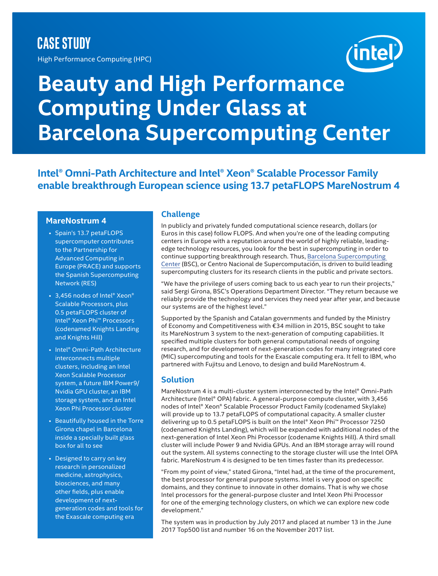### **CASE STUDY**

High Performance Computing (HPC)

# inte

## **Beauty and High Performance Computing Under Glass at Barcelona Supercomputing Center**

**Intel® Omni-Path Architecture and Intel® Xeon® Scalable Processor Family enable breakthrough European science using 13.7 petaFLOPS MareNostrum 4**

#### **MareNostrum 4**

- Spain's 13.7 petaFLOPS supercomputer contributes to the Partnership for Advanced Computing in Europe (PRACE) and supports the Spanish Supercomputing Network (RES)
- 3,456 nodes of Intel® Xeon® Scalable Processors, plus 0.5 petaFLOPS cluster of Intel® Xeon Phi™ Processors (codenamed Knights Landing and Knights Hill)
- Intel® Omni-Path Architecture interconnects multiple clusters, including an Intel Xeon Scalable Processor system, a future IBM Power9/ Nvidia GPU cluster, an IBM storage system, and an Intel Xeon Phi Processor cluster
- Beautifully housed in the Torre Girona chapel in Barcelona inside a specially built glass box for all to see
- Designed to carry on key research in personalized medicine, astrophysics, biosciences, and many other fields, plus enable development of nextgeneration codes and tools for the Exascale computing era

#### **Challenge**

In publicly and privately funded computational science research, dollars (or Euros in this case) follow FLOPS. And when you're one of the leading computing centers in Europe with a reputation around the world of highly reliable, leadingedge technology resources, you look for the best in supercomputing in order to continue supporting breakthrough research. Thus, [Barcelona Supercomputing](https://www.bsc.es/)  [Center](https://www.bsc.es/) (BSC), or Centro Nacional de Supercomputación, is driven to build leading supercomputing clusters for its research clients in the public and private sectors.

"We have the privilege of users coming back to us each year to run their projects," said Sergi Girona, BSC's Operations Department Director. "They return because we reliably provide the technology and services they need year after year, and because our systems are of the highest level."

Supported by the Spanish and Catalan governments and funded by the Ministry of Economy and Competitiveness with €34 million in 2015, BSC sought to take its MareNostrum 3 system to the next-generation of computing capabilities. It specified multiple clusters for both general computational needs of ongoing research, and for development of next-generation codes for many integrated core (MIC) supercomputing and tools for the Exascale computing era. It fell to IBM, who partnered with Fujitsu and Lenovo, to design and build MareNostrum 4.

#### **Solution**

MareNostrum 4 is a multi-cluster system interconnected by the Intel® Omni-Path Architecture (Intel® OPA) fabric. A general-purpose compute cluster, with 3,456 nodes of Intel® Xeon® Scalable Processor Product Family (codenamed Skylake) will provide up to 13.7 petaFLOPS of computational capacity. A smaller cluster delivering up to 0.5 petaFLOPS is built on the Intel® Xeon Phi™ Processor 7250 (codenamed Knights Landing), which will be expanded with additional nodes of the next-generation of Intel Xeon Phi Processor (codename Knights Hill). A third small cluster will include Power 9 and Nvidia GPUs. And an IBM storage array will round out the system. All systems connecting to the storage cluster will use the Intel OPA fabric. MareNostrum 4 is designed to be ten times faster than its predecessor.

"From my point of view," stated Girona, "Intel had, at the time of the procurement, the best processor for general purpose systems. Intel is very good on specific domains, and they continue to innovate in other domains. That is why we chose Intel processors for the general-purpose cluster and Intel Xeon Phi Processor for one of the emerging technology clusters, on which we can explore new code development."

The system was in production by July 2017 and placed at number 13 in the June 2017 Top500 list and number 16 on the November 2017 list.